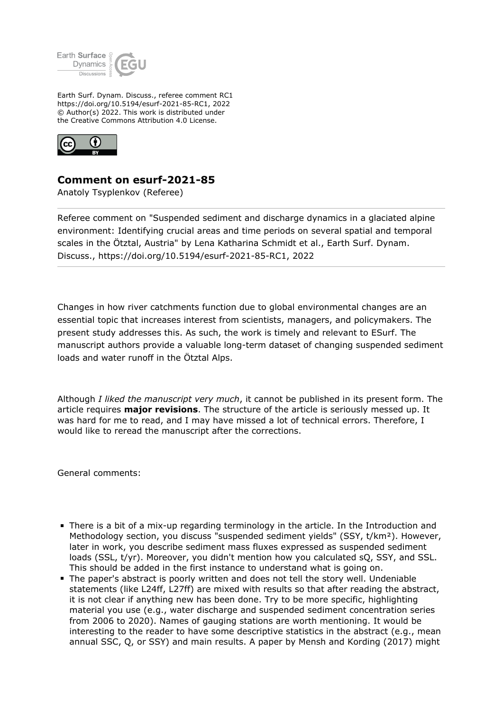

Earth Surf. Dynam. Discuss., referee comment RC1 https://doi.org/10.5194/esurf-2021-85-RC1, 2022 © Author(s) 2022. This work is distributed under the Creative Commons Attribution 4.0 License.



## **Comment on esurf-2021-85**

Anatoly Tsyplenkov (Referee)

Referee comment on "Suspended sediment and discharge dynamics in a glaciated alpine environment: Identifying crucial areas and time periods on several spatial and temporal scales in the Ötztal, Austria" by Lena Katharina Schmidt et al., Earth Surf. Dynam. Discuss., https://doi.org/10.5194/esurf-2021-85-RC1, 2022

Changes in how river catchments function due to global environmental changes are an essential topic that increases interest from scientists, managers, and policymakers. The present study addresses this. As such, the work is timely and relevant to ESurf. The manuscript authors provide a valuable long-term dataset of changing suspended sediment loads and water runoff in the Ötztal Alps.

Although *I liked the manuscript very much*, it cannot be published in its present form. The article requires **major revisions**. The structure of the article is seriously messed up. It was hard for me to read, and I may have missed a lot of technical errors. Therefore, I would like to reread the manuscript after the corrections.

General comments:

- There is a bit of a mix-up regarding terminology in the article. In the Introduction and Methodology section, you discuss "suspended sediment yields" (SSY, t/km²). However, later in work, you describe sediment mass fluxes expressed as suspended sediment loads (SSL, t/yr). Moreover, you didn't mention how you calculated sQ, SSY, and SSL. This should be added in the first instance to understand what is going on.
- The paper's abstract is poorly written and does not tell the story well. Undeniable statements (like L24ff, L27ff) are mixed with results so that after reading the abstract, it is not clear if anything new has been done. Try to be more specific, highlighting material you use (e.g., water discharge and suspended sediment concentration series from 2006 to 2020). Names of gauging stations are worth mentioning. It would be interesting to the reader to have some descriptive statistics in the abstract (e.g., mean annual SSC, Q, or SSY) and main results. A paper by Mensh and Kording (2017) might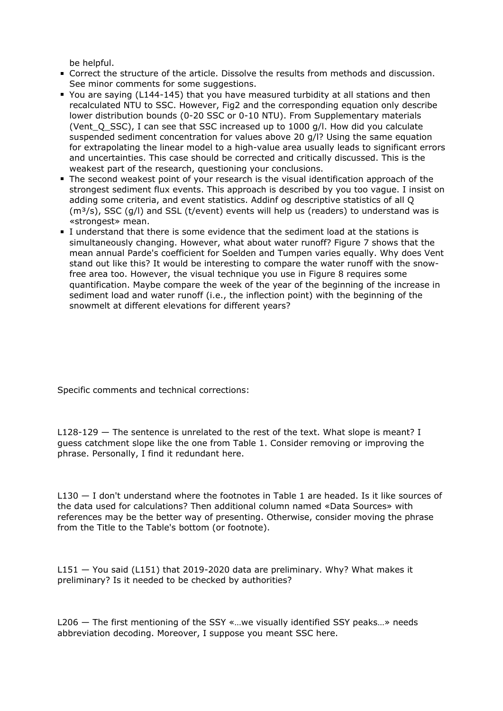be helpful.

- Correct the structure of the article. Dissolve the results from methods and discussion. See minor comments for some suggestions.
- You are saying (L144-145) that you have measured turbidity at all stations and then recalculated NTU to SSC. However, Fig2 and the corresponding equation only describe lower distribution bounds (0-20 SSC or 0-10 NTU). From Supplementary materials (Vent  $\overline{Q}$  SSC), I can see that SSC increased up to 1000 g/l. How did you calculate suspended sediment concentration for values above 20 g/l? Using the same equation for extrapolating the linear model to a high-value area usually leads to significant errors and uncertainties. This case should be corrected and critically discussed. This is the weakest part of the research, questioning your conclusions.
- The second weakest point of your research is the visual identification approach of the strongest sediment flux events. This approach is described by you too vague. I insist on adding some criteria, and event statistics. Addinf og descriptive statistics of all Q  $(m<sup>3</sup>/s)$ , SSC (q/l) and SSL (t/event) events will help us (readers) to understand was is «strongest» mean.
- I understand that there is some evidence that the sediment load at the stations is simultaneously changing. However, what about water runoff? Figure 7 shows that the mean annual Parde's coefficient for Soelden and Tumpen varies equally. Why does Vent stand out like this? It would be interesting to compare the water runoff with the snowfree area too. However, the visual technique you use in Figure 8 requires some quantification. Maybe compare the week of the year of the beginning of the increase in sediment load and water runoff (i.e., the inflection point) with the beginning of the snowmelt at different elevations for different years?

Specific comments and technical corrections:

L128-129 — The sentence is unrelated to the rest of the text. What slope is meant? I guess catchment slope like the one from Table 1. Consider removing or improving the phrase. Personally, I find it redundant here.

L130 — I don't understand where the footnotes in Table 1 are headed. Is it like sources of the data used for calculations? Then additional column named «Data Sources» with references may be the better way of presenting. Otherwise, consider moving the phrase from the Title to the Table's bottom (or footnote).

L151 — You said (L151) that 2019-2020 data are preliminary. Why? What makes it preliminary? Is it needed to be checked by authorities?

L206 — The first mentioning of the SSY «…we visually identified SSY peaks…» needs abbreviation decoding. Moreover, I suppose you meant SSC here.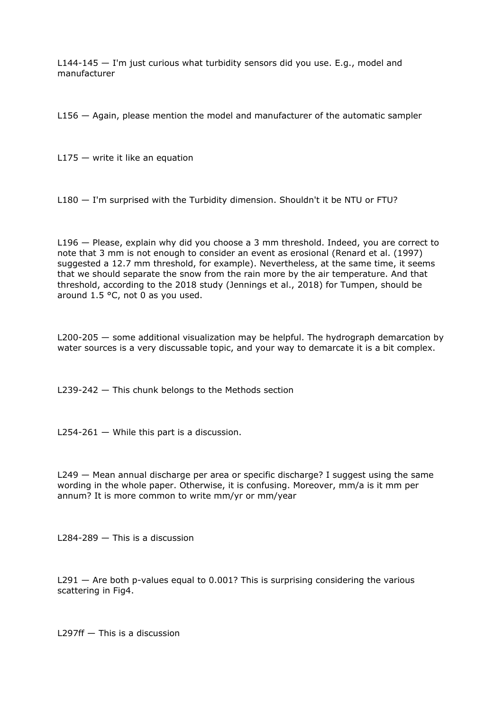L144-145 — I'm just curious what turbidity sensors did you use. E.g., model and manufacturer

L156 — Again, please mention the model and manufacturer of the automatic sampler

 $L175 -$  write it like an equation

L180 — I'm surprised with the Turbidity dimension. Shouldn't it be NTU or FTU?

L196 — Please, explain why did you choose a 3 mm threshold. Indeed, you are correct to note that 3 mm is not enough to consider an event as erosional (Renard et al. (1997) suggested a 12.7 mm threshold, for example). Nevertheless, at the same time, it seems that we should separate the snow from the rain more by the air temperature. And that threshold, according to the 2018 study (Jennings et al., 2018) for Tumpen, should be around 1.5 °C, not 0 as you used.

L200-205 — some additional visualization may be helpful. The hydrograph demarcation by water sources is a very discussable topic, and your way to demarcate it is a bit complex.

L239-242 — This chunk belongs to the Methods section

 $L254-261$  – While this part is a discussion.

L249 — Mean annual discharge per area or specific discharge? I suggest using the same wording in the whole paper. Otherwise, it is confusing. Moreover, mm/a is it mm per annum? It is more common to write mm/yr or mm/year

L284-289 — This is a discussion

 $L291 -$  Are both p-values equal to 0.001? This is surprising considering the various scattering in Fig4.

L297ff — This is a discussion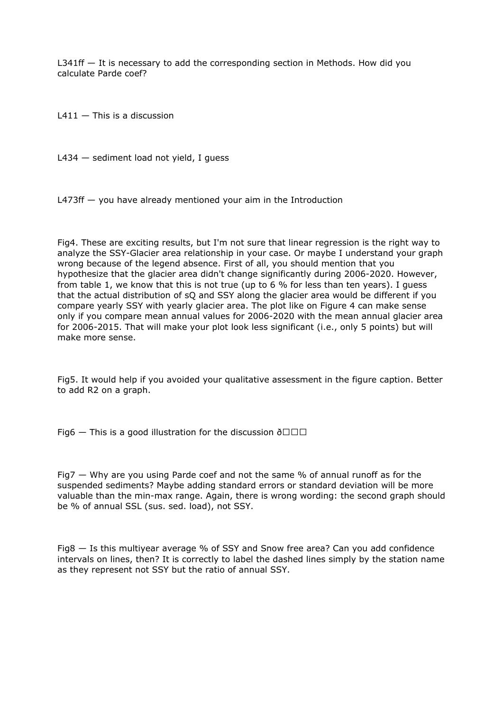L341ff — It is necessary to add the corresponding section in Methods. How did you calculate Parde coef?

 $L411 -$  This is a discussion

L434 — sediment load not yield, I guess

L473ff — you have already mentioned your aim in the Introduction

Fig4. These are exciting results, but I'm not sure that linear regression is the right way to analyze the SSY-Glacier area relationship in your case. Or maybe I understand your graph wrong because of the legend absence. First of all, you should mention that you hypothesize that the glacier area didn't change significantly during 2006-2020. However, from table 1, we know that this is not true (up to 6 % for less than ten years). I guess that the actual distribution of sQ and SSY along the glacier area would be different if you compare yearly SSY with yearly glacier area. The plot like on Figure 4 can make sense only if you compare mean annual values for 2006-2020 with the mean annual glacier area for 2006-2015. That will make your plot look less significant (i.e., only 5 points) but will make more sense.

Fig5. It would help if you avoided your qualitative assessment in the figure caption. Better to add R2 on a graph.

Fig6  $-$  This is a good illustration for the discussion  $\delta\Box\Box\Box$ 

Fig7 — Why are you using Parde coef and not the same % of annual runoff as for the suspended sediments? Maybe adding standard errors or standard deviation will be more valuable than the min-max range. Again, there is wrong wording: the second graph should be % of annual SSL (sus. sed. load), not SSY.

Fig8 — Is this multiyear average % of SSY and Snow free area? Can you add confidence intervals on lines, then? It is correctly to label the dashed lines simply by the station name as they represent not SSY but the ratio of annual SSY.